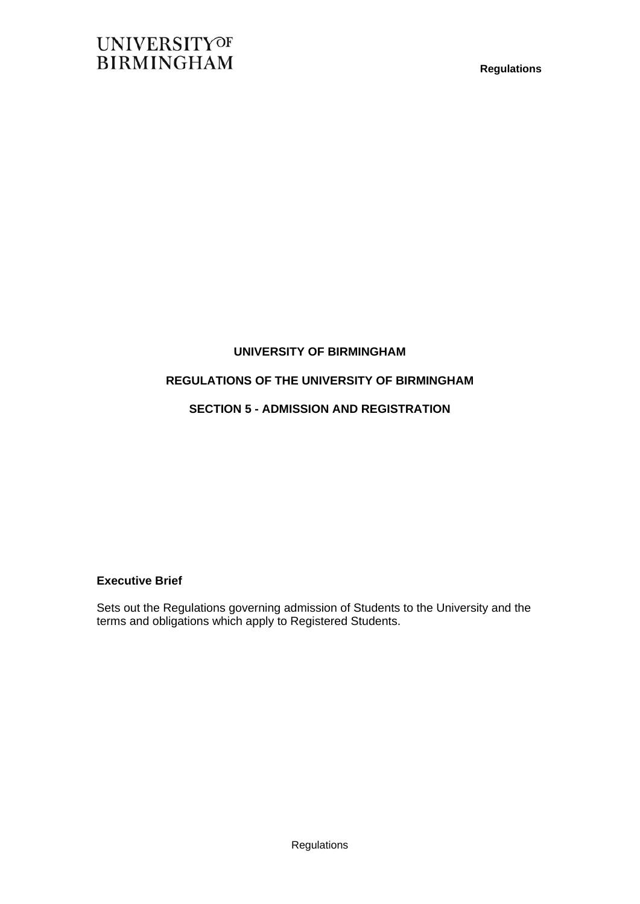### **UNIVERSITY OF BIRMINGHAM**

### **REGULATIONS OF THE UNIVERSITY OF BIRMINGHAM**

### **SECTION 5 - ADMISSION AND REGISTRATION**

### **Executive Brief**

Sets out the Regulations governing admission of Students to the University and the terms and obligations which apply to Registered Students.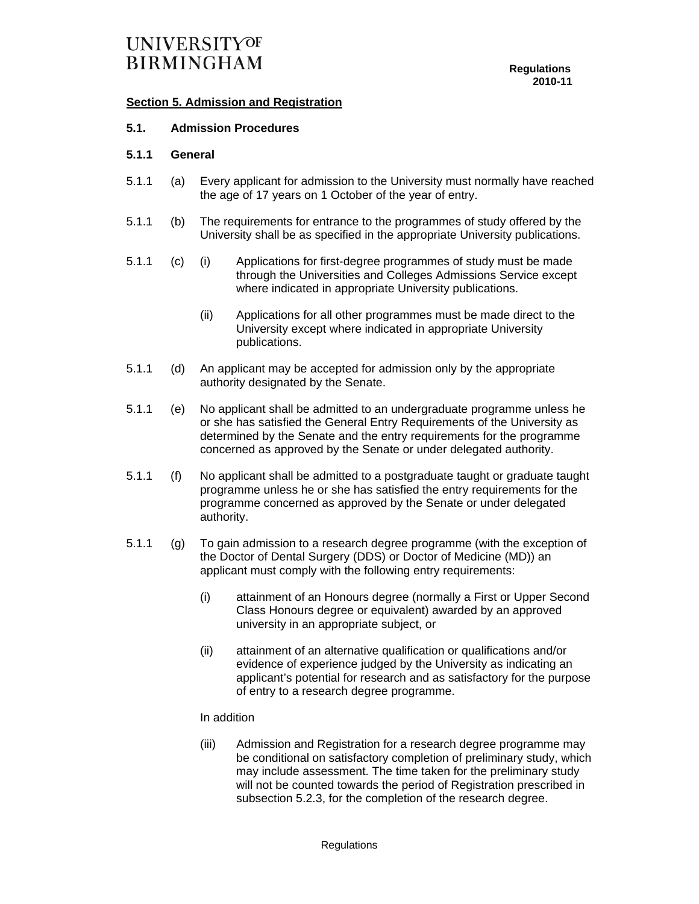### **Section 5. Admission and Registration**

### **5.1. Admission Procedures**

### **5.1.1 General**

- 5.1.1 (a) Every applicant for admission to the University must normally have reached the age of 17 years on 1 October of the year of entry.
- 5.1.1 (b) The requirements for entrance to the programmes of study offered by the University shall be as specified in the appropriate University publications.
- 5.1.1 (c) (i) Applications for first-degree programmes of study must be made through the Universities and Colleges Admissions Service except where indicated in appropriate University publications.
	- (ii) Applications for all other programmes must be made direct to the University except where indicated in appropriate University publications.
- 5.1.1 (d) An applicant may be accepted for admission only by the appropriate authority designated by the Senate.
- 5.1.1 (e) No applicant shall be admitted to an undergraduate programme unless he or she has satisfied the General Entry Requirements of the University as determined by the Senate and the entry requirements for the programme concerned as approved by the Senate or under delegated authority.
- 5.1.1 (f) No applicant shall be admitted to a postgraduate taught or graduate taught programme unless he or she has satisfied the entry requirements for the programme concerned as approved by the Senate or under delegated authority.
- 5.1.1 (g) To gain admission to a research degree programme (with the exception of the Doctor of Dental Surgery (DDS) or Doctor of Medicine (MD)) an applicant must comply with the following entry requirements:
	- (i) attainment of an Honours degree (normally a First or Upper Second Class Honours degree or equivalent) awarded by an approved university in an appropriate subject, or
	- (ii) attainment of an alternative qualification or qualifications and/or evidence of experience judged by the University as indicating an applicant's potential for research and as satisfactory for the purpose of entry to a research degree programme.

#### In addition

 (iii) Admission and Registration for a research degree programme may be conditional on satisfactory completion of preliminary study, which may include assessment. The time taken for the preliminary study will not be counted towards the period of Registration prescribed in subsection 5.2.3, for the completion of the research degree.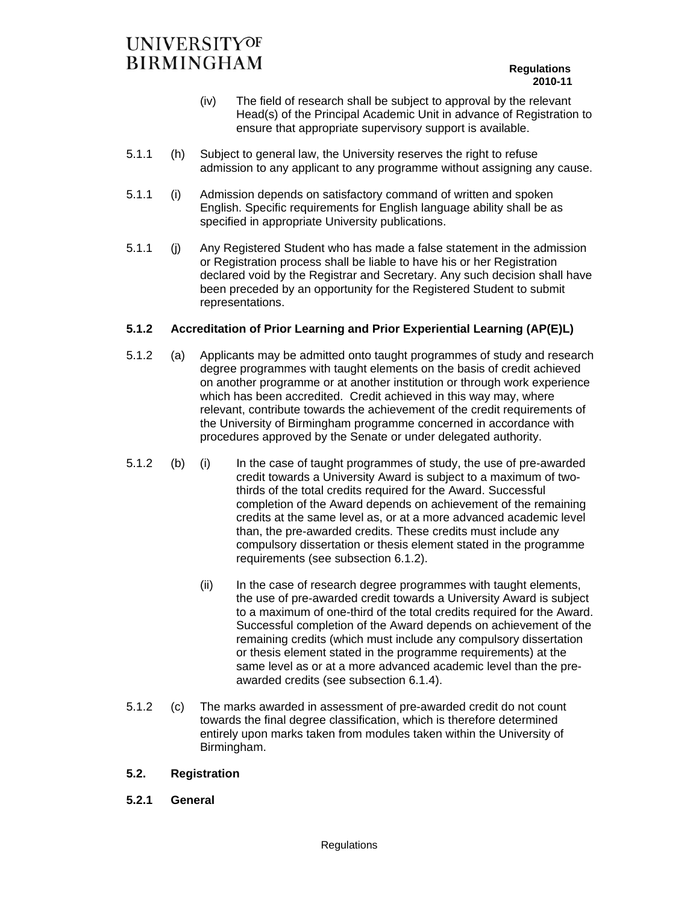- (iv) The field of research shall be subject to approval by the relevant Head(s) of the Principal Academic Unit in advance of Registration to ensure that appropriate supervisory support is available.
- 5.1.1 (h) Subject to general law, the University reserves the right to refuse admission to any applicant to any programme without assigning any cause.
- 5.1.1 (i) Admission depends on satisfactory command of written and spoken English. Specific requirements for English language ability shall be as specified in appropriate University publications.
- 5.1.1 (j) Any Registered Student who has made a false statement in the admission or Registration process shall be liable to have his or her Registration declared void by the Registrar and Secretary. Any such decision shall have been preceded by an opportunity for the Registered Student to submit representations.

### **5.1.2 Accreditation of Prior Learning and Prior Experiential Learning (AP(E)L)**

- 5.1.2 (a) Applicants may be admitted onto taught programmes of study and research degree programmes with taught elements on the basis of credit achieved on another programme or at another institution or through work experience which has been accredited. Credit achieved in this way may, where relevant, contribute towards the achievement of the credit requirements of the University of Birmingham programme concerned in accordance with procedures approved by the Senate or under delegated authority.
- 5.1.2 (b) (i) In the case of taught programmes of study, the use of pre-awarded credit towards a University Award is subject to a maximum of twothirds of the total credits required for the Award. Successful completion of the Award depends on achievement of the remaining credits at the same level as, or at a more advanced academic level than, the pre-awarded credits. These credits must include any compulsory dissertation or thesis element stated in the programme requirements (see subsection 6.1.2).
	- (ii) In the case of research degree programmes with taught elements, the use of pre-awarded credit towards a University Award is subject to a maximum of one-third of the total credits required for the Award. Successful completion of the Award depends on achievement of the remaining credits (which must include any compulsory dissertation or thesis element stated in the programme requirements) at the same level as or at a more advanced academic level than the preawarded credits (see subsection 6.1.4).
- 5.1.2 (c) The marks awarded in assessment of pre-awarded credit do not count towards the final degree classification, which is therefore determined entirely upon marks taken from modules taken within the University of Birmingham.

### **5.2. Registration**

**5.2.1 General**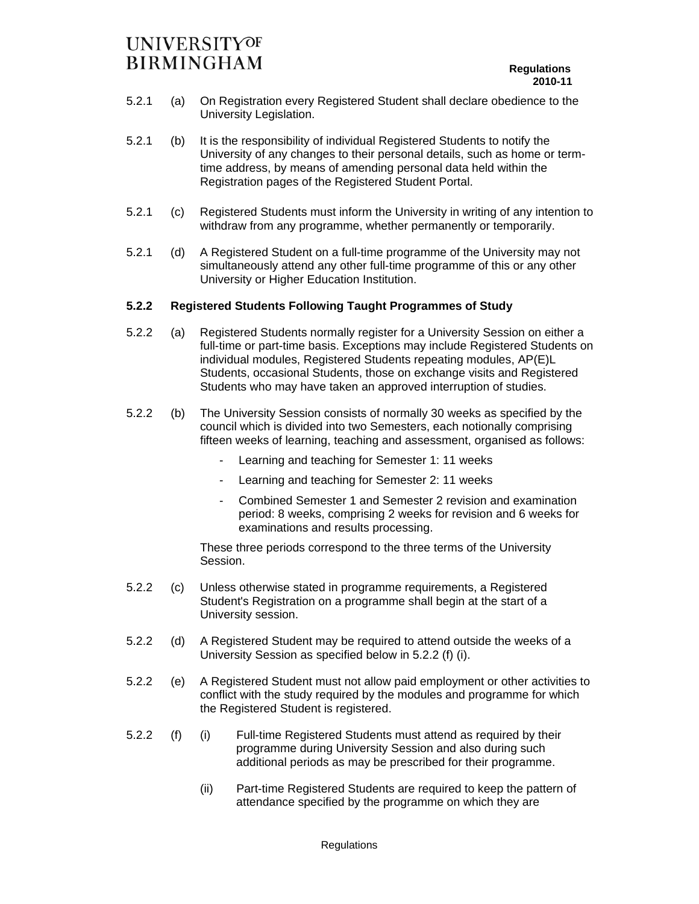- 5.2.1 (a) On Registration every Registered Student shall declare obedience to the University Legislation.
- 5.2.1 (b) It is the responsibility of individual Registered Students to notify the University of any changes to their personal details, such as home or termtime address, by means of amending personal data held within the Registration pages of the Registered Student Portal.
- 5.2.1 (c) Registered Students must inform the University in writing of any intention to withdraw from any programme, whether permanently or temporarily.
- 5.2.1 (d) A Registered Student on a full-time programme of the University may not simultaneously attend any other full-time programme of this or any other University or Higher Education Institution.

### **5.2.2 Registered Students Following Taught Programmes of Study**

- 5.2.2 (a) Registered Students normally register for a University Session on either a full-time or part-time basis. Exceptions may include Registered Students on individual modules, Registered Students repeating modules, AP(E)L Students, occasional Students, those on exchange visits and Registered Students who may have taken an approved interruption of studies.
- 5.2.2 (b) The University Session consists of normally 30 weeks as specified by the council which is divided into two Semesters, each notionally comprising fifteen weeks of learning, teaching and assessment, organised as follows:
	- Learning and teaching for Semester 1: 11 weeks
	- Learning and teaching for Semester 2: 11 weeks
	- Combined Semester 1 and Semester 2 revision and examination period: 8 weeks, comprising 2 weeks for revision and 6 weeks for examinations and results processing.

These three periods correspond to the three terms of the University Session.

- 5.2.2 (c) Unless otherwise stated in programme requirements, a Registered Student's Registration on a programme shall begin at the start of a University session.
- 5.2.2 (d) A Registered Student may be required to attend outside the weeks of a University Session as specified below in 5.2.2 (f) (i).
- 5.2.2 (e) A Registered Student must not allow paid employment or other activities to conflict with the study required by the modules and programme for which the Registered Student is registered.
- (i) Full-time Registered Students must attend as required by their programme during University Session and also during such additional periods as may be prescribed for their programme. 5.2.2 (f)
	- (ii) Part-time Registered Students are required to keep the pattern of attendance specified by the programme on which they are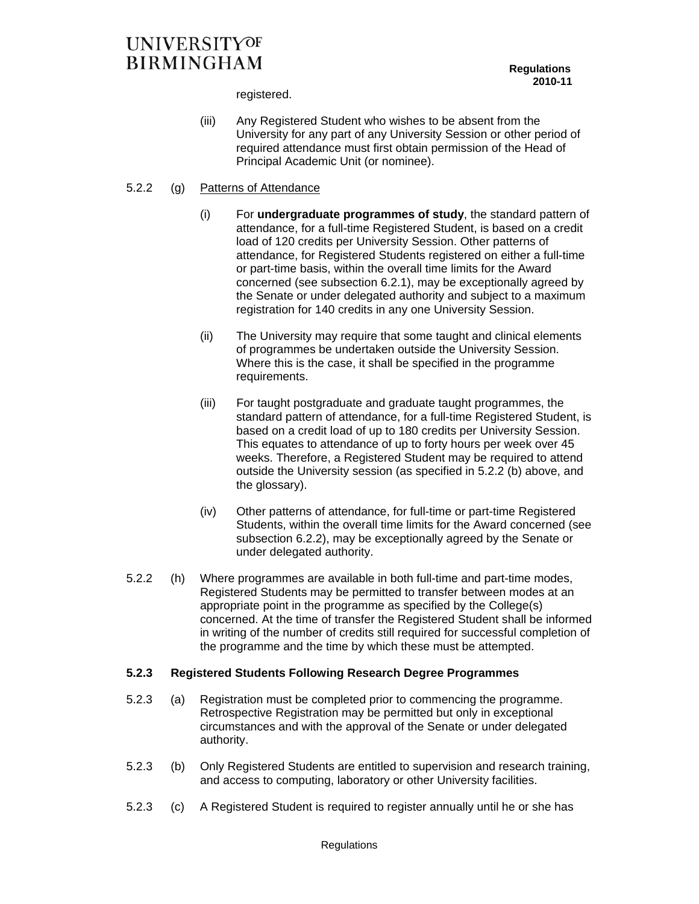registered.

(iii) Any Registered Student who wishes to be absent from the University for any part of any University Session or other period of required attendance must first obtain permission of the Head of Principal Academic Unit (or nominee).

### 5.2.2 (g) Patterns of Attendance

- (i) For **undergraduate programmes of study**, the standard pattern of attendance, for a full-time Registered Student, is based on a credit load of 120 credits per University Session. Other patterns of attendance, for Registered Students registered on either a full-time or part-time basis, within the overall time limits for the Award concerned (see subsection 6.2.1), may be exceptionally agreed by the Senate or under delegated authority and subject to a maximum registration for 140 credits in any one University Session.
- (ii) The University may require that some taught and clinical elements of programmes be undertaken outside the University Session. Where this is the case, it shall be specified in the programme requirements.
- (iii) For taught postgraduate and graduate taught programmes, the standard pattern of attendance, for a full-time Registered Student, is based on a credit load of up to 180 credits per University Session. This equates to attendance of up to forty hours per week over 45 weeks. Therefore, a Registered Student may be required to attend outside the University session (as specified in 5.2.2 (b) above, and the glossary).
- (iv) Other patterns of attendance, for full-time or part-time Registered Students, within the overall time limits for the Award concerned (see subsection 6.2.2), may be exceptionally agreed by the Senate or under delegated authority.
- 5.2.2 (h) Where programmes are available in both full-time and part-time modes, Registered Students may be permitted to transfer between modes at an appropriate point in the programme as specified by the College(s) concerned. At the time of transfer the Registered Student shall be informed in writing of the number of credits still required for successful completion of the programme and the time by which these must be attempted.

### **5.2.3 Registered Students Following Research Degree Programmes**

- 5.2.3 (a) Registration must be completed prior to commencing the programme. Retrospective Registration may be permitted but only in exceptional circumstances and with the approval of the Senate or under delegated authority.
- 5.2.3 (b) Only Registered Students are entitled to supervision and research training, and access to computing, laboratory or other University facilities.
- 5.2.3 (c) A Registered Student is required to register annually until he or she has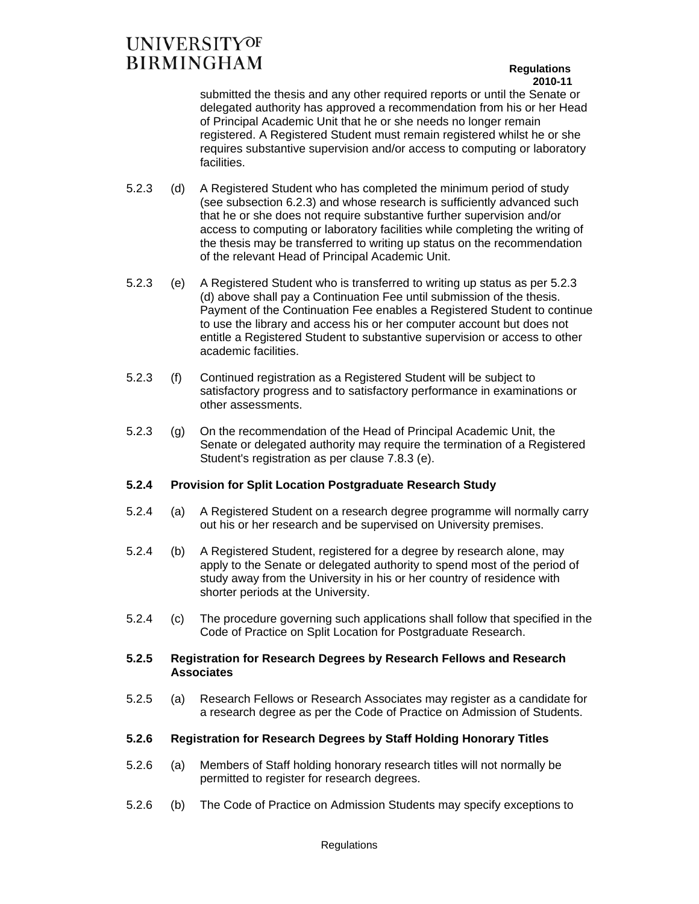### **Regulations 2010-11**

submitted the thesis and any other required reports or until the Senate or delegated authority has approved a recommendation from his or her Head of Principal Academic Unit that he or she needs no longer remain registered. A Registered Student must remain registered whilst he or she requires substantive supervision and/or access to computing or laboratory facilities.

- 5.2.3 (d) A Registered Student who has completed the minimum period of study (see subsection 6.2.3) and whose research is sufficiently advanced such that he or she does not require substantive further supervision and/or access to computing or laboratory facilities while completing the writing of the thesis may be transferred to writing up status on the recommendation of the relevant Head of Principal Academic Unit.
- 5.2.3 (e) A Registered Student who is transferred to writing up status as per 5.2.3 (d) above shall pay a Continuation Fee until submission of the thesis. Payment of the Continuation Fee enables a Registered Student to continue to use the library and access his or her computer account but does not entitle a Registered Student to substantive supervision or access to other academic facilities.
- 5.2.3 (f) Continued registration as a Registered Student will be subject to satisfactory progress and to satisfactory performance in examinations or other assessments.
- 5.2.3 (g) On the recommendation of the Head of Principal Academic Unit, the Senate or delegated authority may require the termination of a Registered Student's registration as per clause 7.8.3 (e).

### **5.2.4 Provision for Split Location Postgraduate Research Study**

- 5.2.4 (a) A Registered Student on a research degree programme will normally carry out his or her research and be supervised on University premises.
- 5.2.4 (b) A Registered Student, registered for a degree by research alone, may apply to the Senate or delegated authority to spend most of the period of study away from the University in his or her country of residence with shorter periods at the University.
- 5.2.4 (c) The procedure governing such applications shall follow that specified in the Code of Practice on Split Location for Postgraduate Research.

### **5.2.5 Registration for Research Degrees by Research Fellows and Research Associates**

5.2.5 (a) Research Fellows or Research Associates may register as a candidate for a research degree as per the Code of Practice on Admission of Students.

### **5.2.6 Registration for Research Degrees by Staff Holding Honorary Titles**

- 5.2.6 (a) Members of Staff holding honorary research titles will not normally be permitted to register for research degrees.
- 5.2.6 (b) The Code of Practice on Admission Students may specify exceptions to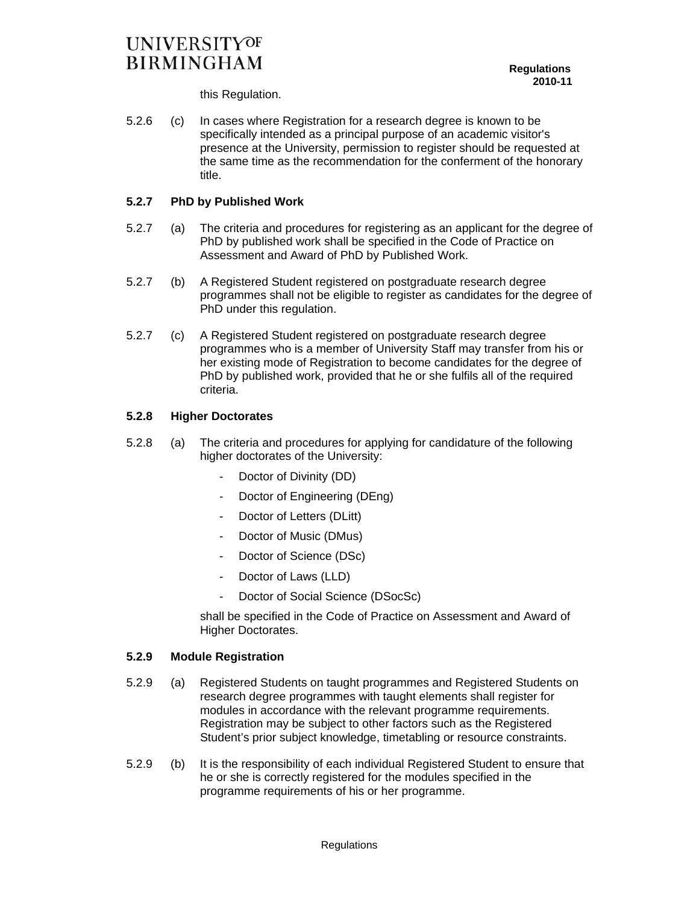this Regulation.

5.2.6 (c) In cases where Registration for a research degree is known to be specifically intended as a principal purpose of an academic visitor's presence at the University, permission to register should be requested at the same time as the recommendation for the conferment of the honorary title.

### **5.2.7 PhD by Published Work**

- 5.2.7 (a) The criteria and procedures for registering as an applicant for the degree of PhD by published work shall be specified in the Code of Practice on Assessment and Award of PhD by Published Work.
- 5.2.7 (b) A Registered Student registered on postgraduate research degree programmes shall not be eligible to register as candidates for the degree of PhD under this regulation.
- 5.2.7 (c) A Registered Student registered on postgraduate research degree programmes who is a member of University Staff may transfer from his or her existing mode of Registration to become candidates for the degree of PhD by published work, provided that he or she fulfils all of the required criteria.

### **5.2.8 Higher Doctorates**

- 5.2.8 (a) The criteria and procedures for applying for candidature of the following higher doctorates of the University:
	- Doctor of Divinity (DD)
	- Doctor of Engineering (DEng)
	- Doctor of Letters (DLitt)
	- Doctor of Music (DMus)
	- Doctor of Science (DSc)
	- Doctor of Laws (LLD)
	- Doctor of Social Science (DSocSc)

shall be specified in the Code of Practice on Assessment and Award of Higher Doctorates.

### **5.2.9 Module Registration**

- 5.2.9 (a) Registered Students on taught programmes and Registered Students on research degree programmes with taught elements shall register for modules in accordance with the relevant programme requirements. Registration may be subject to other factors such as the Registered Student's prior subject knowledge, timetabling or resource constraints.
- 5.2.9 (b) It is the responsibility of each individual Registered Student to ensure that he or she is correctly registered for the modules specified in the programme requirements of his or her programme.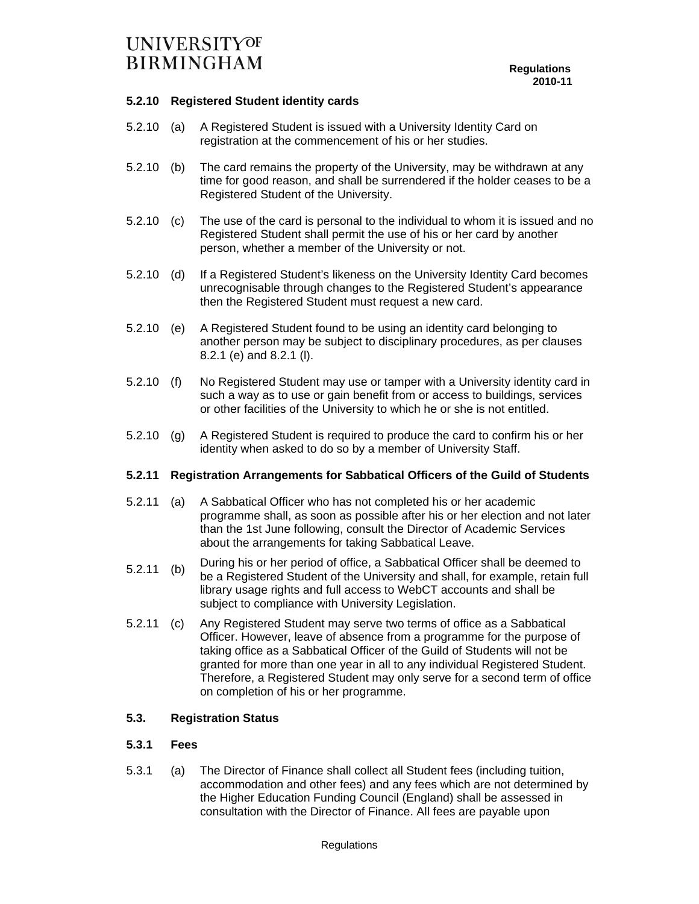### **5.2.10 Registered Student identity cards**

- 5.2.10 (a) A Registered Student is issued with a University Identity Card on registration at the commencement of his or her studies.
- 5.2.10 (b) The card remains the property of the University, may be withdrawn at any time for good reason, and shall be surrendered if the holder ceases to be a Registered Student of the University.
- 5.2.10 (c) The use of the card is personal to the individual to whom it is issued and no Registered Student shall permit the use of his or her card by another person, whether a member of the University or not.
- 5.2.10 (d) If a Registered Student's likeness on the University Identity Card becomes unrecognisable through changes to the Registered Student's appearance then the Registered Student must request a new card.
- 5.2.10 (e) A Registered Student found to be using an identity card belonging to another person may be subject to disciplinary procedures, as per clauses 8.2.1 (e) and 8.2.1 (l).
- 5.2.10 (f) No Registered Student may use or tamper with a University identity card in such a way as to use or gain benefit from or access to buildings, services or other facilities of the University to which he or she is not entitled.
- 5.2.10 (g) A Registered Student is required to produce the card to confirm his or her identity when asked to do so by a member of University Staff.

### **5.2.11 Registration Arrangements for Sabbatical Officers of the Guild of Students**

- 5.2.11 (a) A Sabbatical Officer who has not completed his or her academic programme shall, as soon as possible after his or her election and not later than the 1st June following, consult the Director of Academic Services about the arrangements for taking Sabbatical Leave.
- 5.2.11 (b) During his or her period of office, a Sabbatical Officer shall be deemed to be a Registered Student of the University and shall, for example, retain full library usage rights and full access to WebCT accounts and shall be subject to compliance with University Legislation.
- 5.2.11 (c) Any Registered Student may serve two terms of office as a Sabbatical Officer. However, leave of absence from a programme for the purpose of taking office as a Sabbatical Officer of the Guild of Students will not be granted for more than one year in all to any individual Registered Student. Therefore, a Registered Student may only serve for a second term of office on completion of his or her programme.

### **5.3. Registration Status**

### **5.3.1 Fees**

5.3.1 (a) The Director of Finance shall collect all Student fees (including tuition, accommodation and other fees) and any fees which are not determined by the Higher Education Funding Council (England) shall be assessed in consultation with the Director of Finance. All fees are payable upon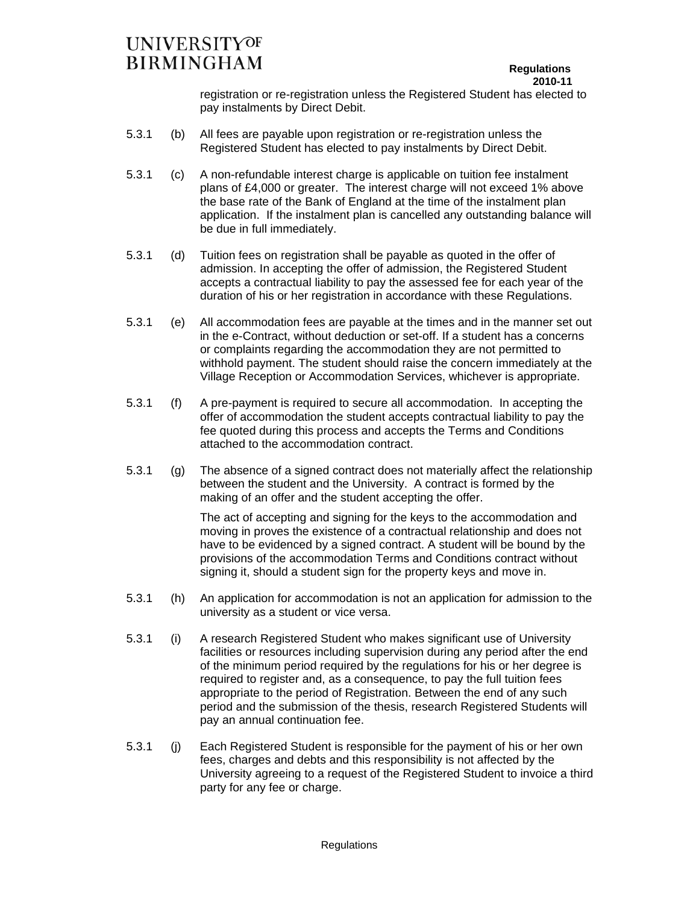### **Regulations 2010-11**

registration or re-registration unless the Registered Student has elected to pay instalments by Direct Debit.

- 5.3.1 (b) All fees are payable upon registration or re-registration unless the Registered Student has elected to pay instalments by Direct Debit.
- 5.3.1 (c) A non-refundable interest charge is applicable on tuition fee instalment plans of £4,000 or greater. The interest charge will not exceed 1% above the base rate of the Bank of England at the time of the instalment plan application. If the instalment plan is cancelled any outstanding balance will be due in full immediately.
- 5.3.1 (d) Tuition fees on registration shall be payable as quoted in the offer of admission. In accepting the offer of admission, the Registered Student accepts a contractual liability to pay the assessed fee for each year of the duration of his or her registration in accordance with these Regulations.
- 5.3.1 (e) All accommodation fees are payable at the times and in the manner set out in the e-Contract, without deduction or set-off. If a student has a concerns or complaints regarding the accommodation they are not permitted to withhold payment. The student should raise the concern immediately at the Village Reception or Accommodation Services, whichever is appropriate.
- 5.3.1 (f) A pre-payment is required to secure all accommodation. In accepting the offer of accommodation the student accepts contractual liability to pay the fee quoted during this process and accepts the Terms and Conditions attached to the accommodation contract.
- 5.3.1 (g) The absence of a signed contract does not materially affect the relationship between the student and the University. A contract is formed by the making of an offer and the student accepting the offer.

The act of accepting and signing for the keys to the accommodation and moving in proves the existence of a contractual relationship and does not have to be evidenced by a signed contract. A student will be bound by the provisions of the accommodation Terms and Conditions contract without signing it, should a student sign for the property keys and move in.

- 5.3.1 (h) An application for accommodation is not an application for admission to the university as a student or vice versa.
- 5.3.1 (i) A research Registered Student who makes significant use of University facilities or resources including supervision during any period after the end of the minimum period required by the regulations for his or her degree is required to register and, as a consequence, to pay the full tuition fees appropriate to the period of Registration. Between the end of any such period and the submission of the thesis, research Registered Students will pay an annual continuation fee.
- 5.3.1 (j) Each Registered Student is responsible for the payment of his or her own fees, charges and debts and this responsibility is not affected by the University agreeing to a request of the Registered Student to invoice a third party for any fee or charge.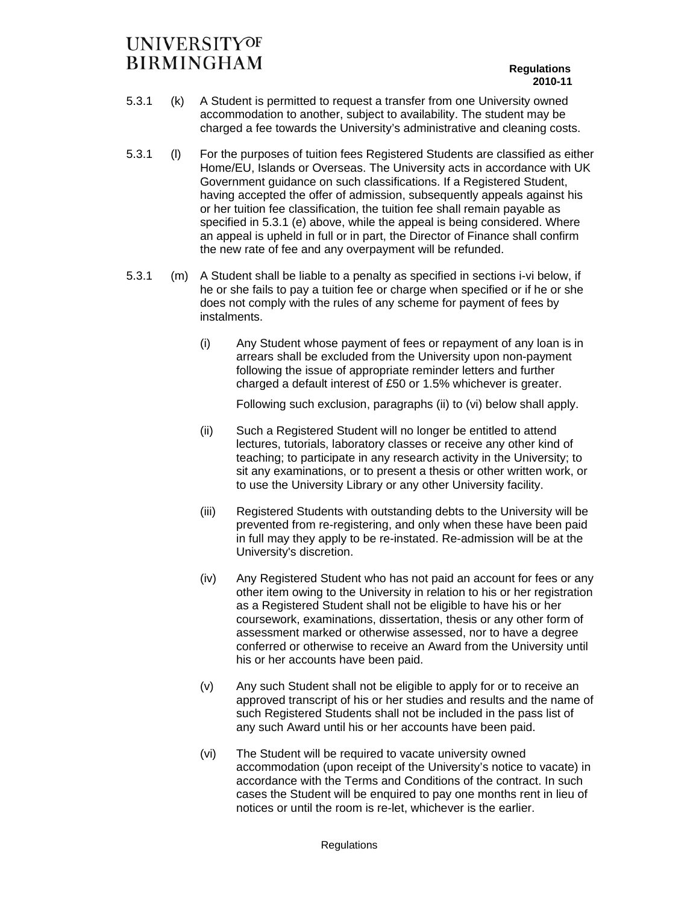- 5.3.1 (k) A Student is permitted to request a transfer from one University owned accommodation to another, subject to availability. The student may be charged a fee towards the University's administrative and cleaning costs.
- 5.3.1 (l) For the purposes of tuition fees Registered Students are classified as either Home/EU, Islands or Overseas. The University acts in accordance with UK Government guidance on such classifications. If a Registered Student, having accepted the offer of admission, subsequently appeals against his or her tuition fee classification, the tuition fee shall remain payable as specified in 5.3.1 (e) above, while the appeal is being considered. Where an appeal is upheld in full or in part, the Director of Finance shall confirm the new rate of fee and any overpayment will be refunded.
- 5.3.1 (m) A Student shall be liable to a penalty as specified in sections i-vi below, if he or she fails to pay a tuition fee or charge when specified or if he or she does not comply with the rules of any scheme for payment of fees by instalments.
	- (i) Any Student whose payment of fees or repayment of any loan is in arrears shall be excluded from the University upon non-payment following the issue of appropriate reminder letters and further charged a default interest of £50 or 1.5% whichever is greater.

Following such exclusion, paragraphs (ii) to (vi) below shall apply.

- (ii) Such a Registered Student will no longer be entitled to attend lectures, tutorials, laboratory classes or receive any other kind of teaching; to participate in any research activity in the University; to sit any examinations, or to present a thesis or other written work, or to use the University Library or any other University facility.
- (iii) Registered Students with outstanding debts to the University will be prevented from re-registering, and only when these have been paid in full may they apply to be re-instated. Re-admission will be at the University's discretion.
- (iv) Any Registered Student who has not paid an account for fees or any other item owing to the University in relation to his or her registration as a Registered Student shall not be eligible to have his or her coursework, examinations, dissertation, thesis or any other form of assessment marked or otherwise assessed, nor to have a degree conferred or otherwise to receive an Award from the University until his or her accounts have been paid.
- (v) Any such Student shall not be eligible to apply for or to receive an approved transcript of his or her studies and results and the name of such Registered Students shall not be included in the pass list of any such Award until his or her accounts have been paid.
- (vi) The Student will be required to vacate university owned accommodation (upon receipt of the University's notice to vacate) in accordance with the Terms and Conditions of the contract. In such cases the Student will be enquired to pay one months rent in lieu of notices or until the room is re-let, whichever is the earlier.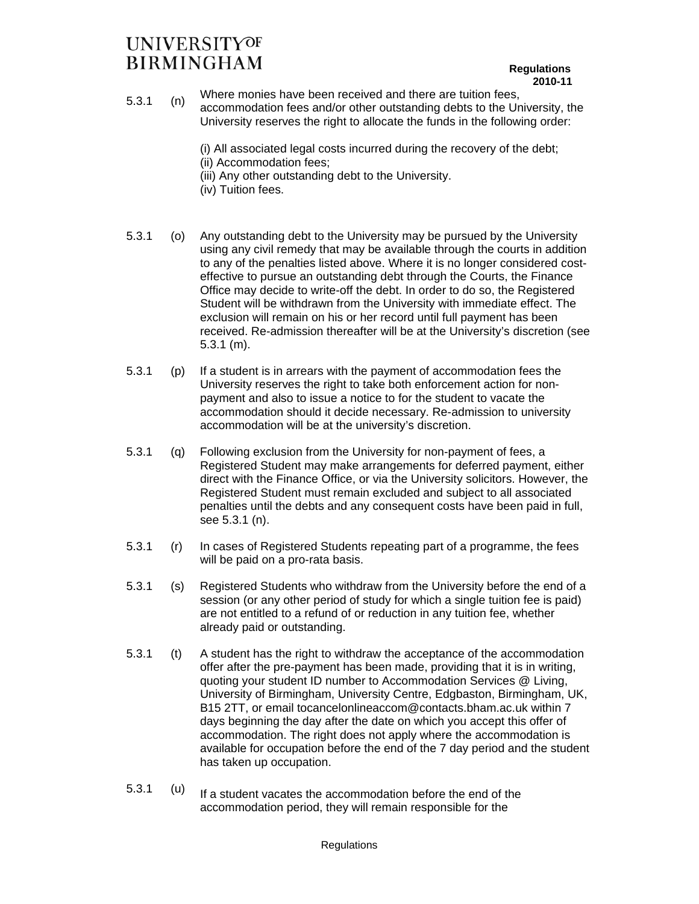#### **Regulations 2010-11**

- 5.3.1 (n) Where monies have been received and there are tuition fees, accommodation fees and/or other outstanding debts to the University, the University reserves the right to allocate the funds in the following order:
	- (i) All associated legal costs incurred during the recovery of the debt;
	- (ii) Accommodation fees;
	- (iii) Any other outstanding debt to the University.
	- (iv) Tuition fees.
- 5.3.1 (o) Any outstanding debt to the University may be pursued by the University using any civil remedy that may be available through the courts in addition to any of the penalties listed above. Where it is no longer considered costeffective to pursue an outstanding debt through the Courts, the Finance Office may decide to write-off the debt. In order to do so, the Registered Student will be withdrawn from the University with immediate effect. The exclusion will remain on his or her record until full payment has been received. Re-admission thereafter will be at the University's discretion (see 5.3.1 (m).
- 5.3.1 (p) If a student is in arrears with the payment of accommodation fees the University reserves the right to take both enforcement action for nonpayment and also to issue a notice to for the student to vacate the accommodation should it decide necessary. Re-admission to university accommodation will be at the university's discretion.
- 5.3.1 (q) Following exclusion from the University for non-payment of fees, a Registered Student may make arrangements for deferred payment, either direct with the Finance Office, or via the University solicitors. However, the Registered Student must remain excluded and subject to all associated penalties until the debts and any consequent costs have been paid in full, see 5.3.1 (n).
- 5.3.1 (r) In cases of Registered Students repeating part of a programme, the fees will be paid on a pro-rata basis.
- 5.3.1 (s) Registered Students who withdraw from the University before the end of a session (or any other period of study for which a single tuition fee is paid) are not entitled to a refund of or reduction in any tuition fee, whether already paid or outstanding.
- 5.3.1 (t) A student has the right to withdraw the acceptance of the accommodation offer after the pre-payment has been made, providing that it is in writing, quoting your student ID number to Accommodation Services @ Living, University of Birmingham, University Centre, Edgbaston, Birmingham, UK, B15 2TT, or email tocancelonlineaccom@contacts.bham.ac.uk within 7 days beginning the day after the date on which you accept this offer of accommodation. The right does not apply where the accommodation is available for occupation before the end of the 7 day period and the student has taken up occupation.
- $5.3.1$  (u) If a student vacates the accommodation before the end of the accommodation period, they will remain responsible for the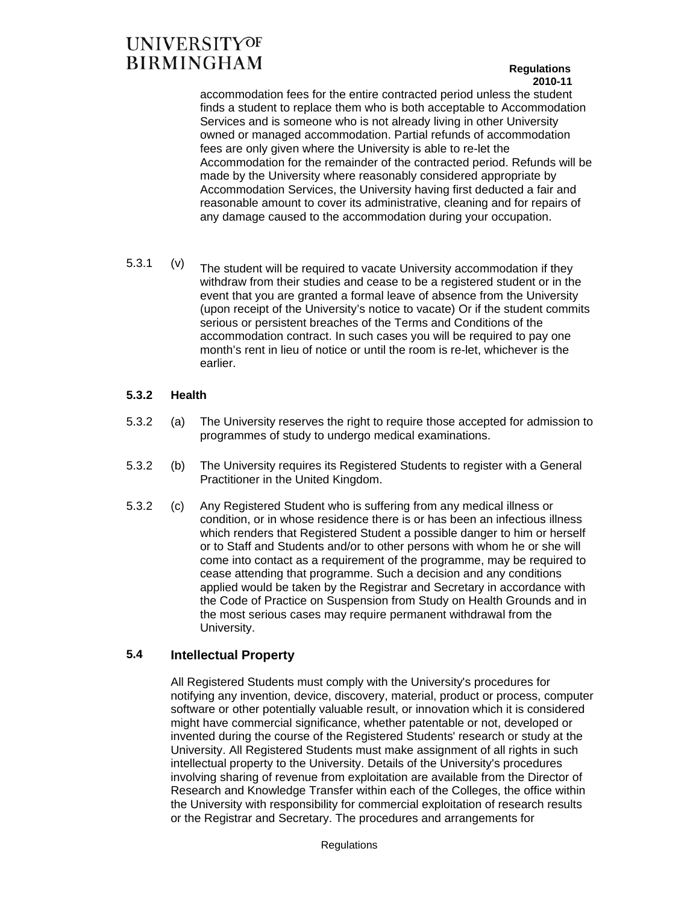### **Regulations 2010-11**

accommodation fees for the entire contracted period unless the student finds a student to replace them who is both acceptable to Accommodation Services and is someone who is not already living in other University owned or managed accommodation. Partial refunds of accommodation fees are only given where the University is able to re-let the Accommodation for the remainder of the contracted period. Refunds will be made by the University where reasonably considered appropriate by Accommodation Services, the University having first deducted a fair and reasonable amount to cover its administrative, cleaning and for repairs of any damage caused to the accommodation during your occupation.

 $5.3.1$  (v) The student will be required to vacate University accommodation if they withdraw from their studies and cease to be a registered student or in the event that you are granted a formal leave of absence from the University (upon receipt of the University's notice to vacate) Or if the student commits serious or persistent breaches of the Terms and Conditions of the accommodation contract. In such cases you will be required to pay one month's rent in lieu of notice or until the room is re-let, whichever is the earlier.

### **5.3.2 Health**

- 5.3.2 (a) The University reserves the right to require those accepted for admission to programmes of study to undergo medical examinations.
- 5.3.2 (b) The University requires its Registered Students to register with a General Practitioner in the United Kingdom.
- 5.3.2 (c) Any Registered Student who is suffering from any medical illness or condition, or in whose residence there is or has been an infectious illness which renders that Registered Student a possible danger to him or herself or to Staff and Students and/or to other persons with whom he or she will come into contact as a requirement of the programme, may be required to cease attending that programme. Such a decision and any conditions applied would be taken by the Registrar and Secretary in accordance with the Code of Practice on Suspension from Study on Health Grounds and in the most serious cases may require permanent withdrawal from the University.

### **5.4 Intellectual Property**

 All Registered Students must comply with the University's procedures for notifying any invention, device, discovery, material, product or process, computer software or other potentially valuable result, or innovation which it is considered might have commercial significance, whether patentable or not, developed or invented during the course of the Registered Students' research or study at the University. All Registered Students must make assignment of all rights in such intellectual property to the University. Details of the University's procedures involving sharing of revenue from exploitation are available from the Director of Research and Knowledge Transfer within each of the Colleges, the office within the University with responsibility for commercial exploitation of research results or the Registrar and Secretary. The procedures and arrangements for